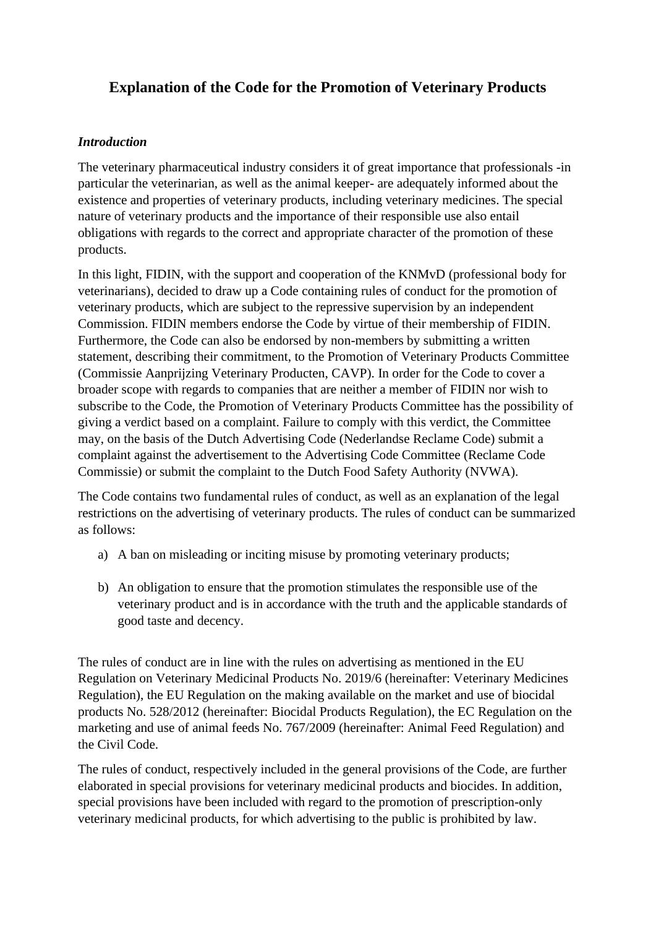# **Explanation of the Code for the Promotion of Veterinary Products**

### *Introduction*

The veterinary pharmaceutical industry considers it of great importance that professionals -in particular the veterinarian, as well as the animal keeper- are adequately informed about the existence and properties of veterinary products, including veterinary medicines. The special nature of veterinary products and the importance of their responsible use also entail obligations with regards to the correct and appropriate character of the promotion of these products.

In this light, FIDIN, with the support and cooperation of the KNMvD (professional body for veterinarians), decided to draw up a Code containing rules of conduct for the promotion of veterinary products, which are subject to the repressive supervision by an independent Commission. FIDIN members endorse the Code by virtue of their membership of FIDIN. Furthermore, the Code can also be endorsed by non-members by submitting a written statement, describing their commitment, to the Promotion of Veterinary Products Committee (Commissie Aanprijzing Veterinary Producten, CAVP). In order for the Code to cover a broader scope with regards to companies that are neither a member of FIDIN nor wish to subscribe to the Code, the Promotion of Veterinary Products Committee has the possibility of giving a verdict based on a complaint. Failure to comply with this verdict, the Committee may, on the basis of the Dutch Advertising Code (Nederlandse Reclame Code) submit a complaint against the advertisement to the Advertising Code Committee (Reclame Code Commissie) or submit the complaint to the Dutch Food Safety Authority (NVWA).

The Code contains two fundamental rules of conduct, as well as an explanation of the legal restrictions on the advertising of veterinary products. The rules of conduct can be summarized as follows:

- a) A ban on misleading or inciting misuse by promoting veterinary products;
- b) An obligation to ensure that the promotion stimulates the responsible use of the veterinary product and is in accordance with the truth and the applicable standards of good taste and decency.

The rules of conduct are in line with the rules on advertising as mentioned in the EU Regulation on Veterinary Medicinal Products No. 2019/6 (hereinafter: Veterinary Medicines Regulation), the EU Regulation on the making available on the market and use of biocidal products No. 528/2012 (hereinafter: Biocidal Products Regulation), the EC Regulation on the marketing and use of animal feeds No. 767/2009 (hereinafter: Animal Feed Regulation) and the Civil Code.

The rules of conduct, respectively included in the general provisions of the Code, are further elaborated in special provisions for veterinary medicinal products and biocides. In addition, special provisions have been included with regard to the promotion of prescription-only veterinary medicinal products, for which advertising to the public is prohibited by law.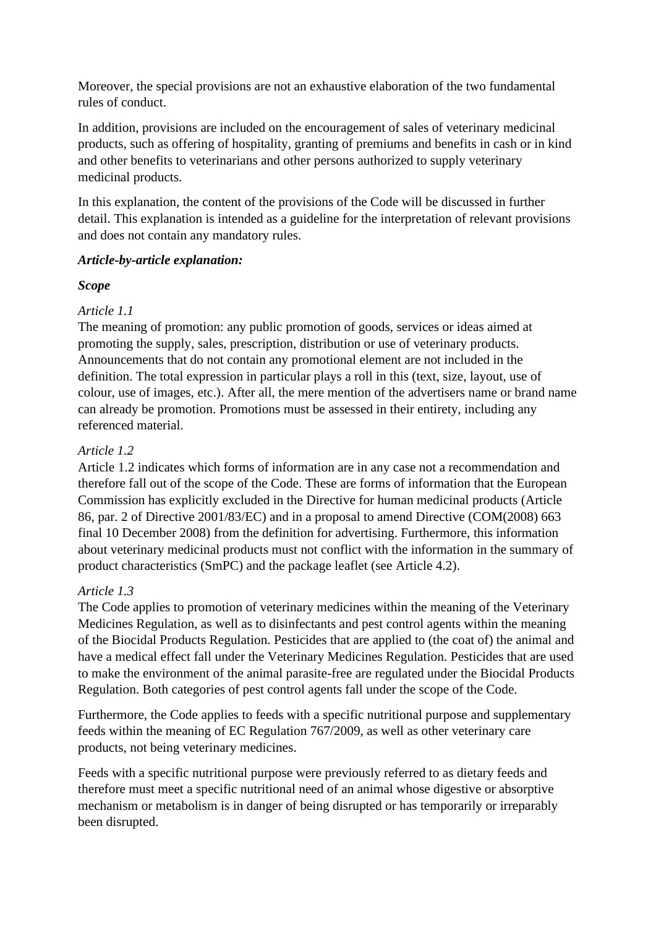Moreover, the special provisions are not an exhaustive elaboration of the two fundamental rules of conduct.

In addition, provisions are included on the encouragement of sales of veterinary medicinal products, such as offering of hospitality, granting of premiums and benefits in cash or in kind and other benefits to veterinarians and other persons authorized to supply veterinary medicinal products.

In this explanation, the content of the provisions of the Code will be discussed in further detail. This explanation is intended as a guideline for the interpretation of relevant provisions and does not contain any mandatory rules.

### *Article-by-article explanation:*

### *Scope*

# *Article 1.1*

The meaning of promotion: any public promotion of goods, services or ideas aimed at promoting the supply, sales, prescription, distribution or use of veterinary products. Announcements that do not contain any promotional element are not included in the definition. The total expression in particular plays a roll in this (text, size, layout, use of colour, use of images, etc.). After all, the mere mention of the advertisers name or brand name can already be promotion. Promotions must be assessed in their entirety, including any referenced material.

# *Article 1.2*

Article 1.2 indicates which forms of information are in any case not a recommendation and therefore fall out of the scope of the Code. These are forms of information that the European Commission has explicitly excluded in the Directive for human medicinal products (Article 86, par. 2 of Directive 2001/83/EC) and in a proposal to amend Directive (COM(2008) 663 final 10 December 2008) from the definition for advertising. Furthermore, this information about veterinary medicinal products must not conflict with the information in the summary of product characteristics (SmPC) and the package leaflet (see Article 4.2).

### *Article 1.3*

The Code applies to promotion of veterinary medicines within the meaning of the Veterinary Medicines Regulation, as well as to disinfectants and pest control agents within the meaning of the Biocidal Products Regulation. Pesticides that are applied to (the coat of) the animal and have a medical effect fall under the Veterinary Medicines Regulation. Pesticides that are used to make the environment of the animal parasite-free are regulated under the Biocidal Products Regulation. Both categories of pest control agents fall under the scope of the Code.

Furthermore, the Code applies to feeds with a specific nutritional purpose and supplementary feeds within the meaning of EC Regulation 767/2009, as well as other veterinary care products, not being veterinary medicines.

Feeds with a specific nutritional purpose were previously referred to as dietary feeds and therefore must meet a specific nutritional need of an animal whose digestive or absorptive mechanism or metabolism is in danger of being disrupted or has temporarily or irreparably been disrupted.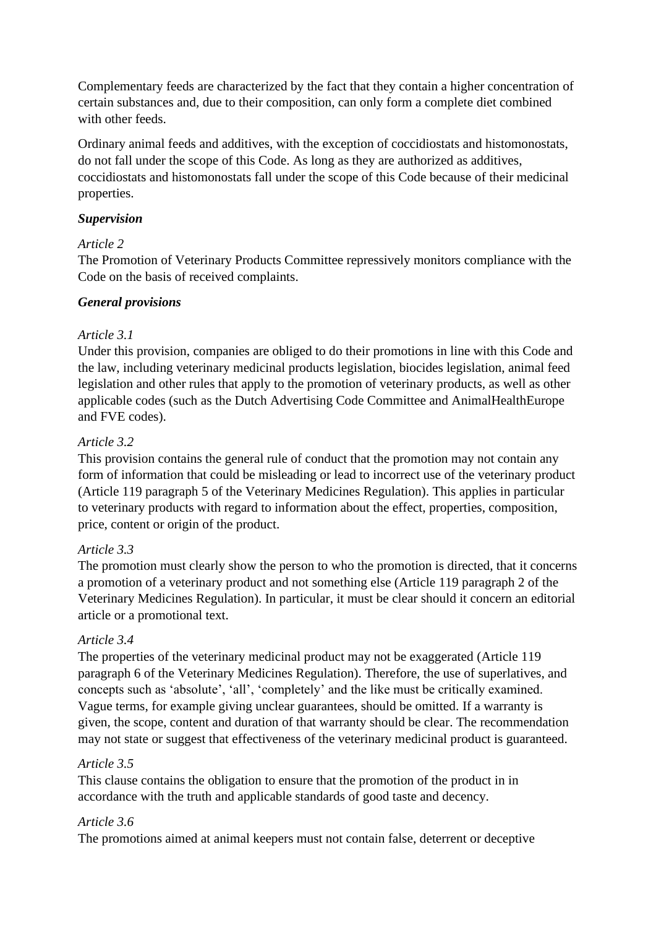Complementary feeds are characterized by the fact that they contain a higher concentration of certain substances and, due to their composition, can only form a complete diet combined with other feeds.

Ordinary animal feeds and additives, with the exception of coccidiostats and histomonostats, do not fall under the scope of this Code. As long as they are authorized as additives, coccidiostats and histomonostats fall under the scope of this Code because of their medicinal properties.

# *Supervision*

# *Article 2*

The Promotion of Veterinary Products Committee repressively monitors compliance with the Code on the basis of received complaints.

# *General provisions*

### *Article 3.1*

Under this provision, companies are obliged to do their promotions in line with this Code and the law, including veterinary medicinal products legislation, biocides legislation, animal feed legislation and other rules that apply to the promotion of veterinary products, as well as other applicable codes (such as the Dutch Advertising Code Committee and AnimalHealthEurope and FVE codes).

# *Article 3.2*

This provision contains the general rule of conduct that the promotion may not contain any form of information that could be misleading or lead to incorrect use of the veterinary product (Article 119 paragraph 5 of the Veterinary Medicines Regulation). This applies in particular to veterinary products with regard to information about the effect, properties, composition, price, content or origin of the product.

### *Article 3.3*

The promotion must clearly show the person to who the promotion is directed, that it concerns a promotion of a veterinary product and not something else (Article 119 paragraph 2 of the Veterinary Medicines Regulation). In particular, it must be clear should it concern an editorial article or a promotional text.

### *Article 3.4*

The properties of the veterinary medicinal product may not be exaggerated (Article 119 paragraph 6 of the Veterinary Medicines Regulation). Therefore, the use of superlatives, and concepts such as 'absolute', 'all', 'completely' and the like must be critically examined. Vague terms, for example giving unclear guarantees, should be omitted. If a warranty is given, the scope, content and duration of that warranty should be clear. The recommendation may not state or suggest that effectiveness of the veterinary medicinal product is guaranteed.

### *Article 3.5*

This clause contains the obligation to ensure that the promotion of the product in in accordance with the truth and applicable standards of good taste and decency.

### *Article 3.6*

The promotions aimed at animal keepers must not contain false, deterrent or deceptive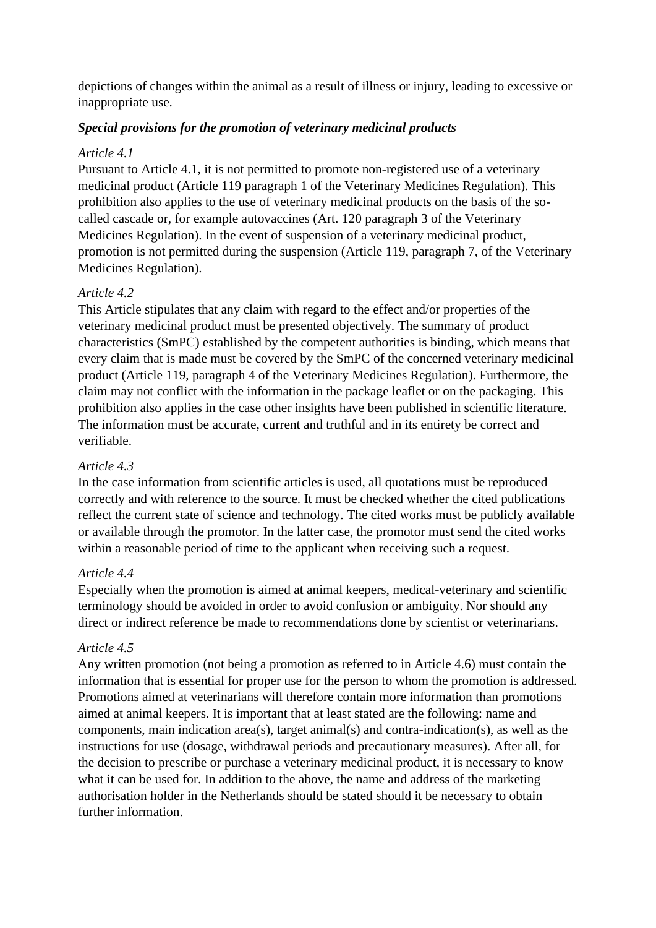depictions of changes within the animal as a result of illness or injury, leading to excessive or inappropriate use.

### *Special provisions for the promotion of veterinary medicinal products*

#### *Article 4.1*

Pursuant to Article 4.1, it is not permitted to promote non-registered use of a veterinary medicinal product (Article 119 paragraph 1 of the Veterinary Medicines Regulation). This prohibition also applies to the use of veterinary medicinal products on the basis of the socalled cascade or, for example autovaccines (Art. 120 paragraph 3 of the Veterinary Medicines Regulation). In the event of suspension of a veterinary medicinal product, promotion is not permitted during the suspension (Article 119, paragraph 7, of the Veterinary Medicines Regulation).

#### *Article 4.2*

This Article stipulates that any claim with regard to the effect and/or properties of the veterinary medicinal product must be presented objectively. The summary of product characteristics (SmPC) established by the competent authorities is binding, which means that every claim that is made must be covered by the SmPC of the concerned veterinary medicinal product (Article 119, paragraph 4 of the Veterinary Medicines Regulation). Furthermore, the claim may not conflict with the information in the package leaflet or on the packaging. This prohibition also applies in the case other insights have been published in scientific literature. The information must be accurate, current and truthful and in its entirety be correct and verifiable.

#### *Article 4.3*

In the case information from scientific articles is used, all quotations must be reproduced correctly and with reference to the source. It must be checked whether the cited publications reflect the current state of science and technology. The cited works must be publicly available or available through the promotor. In the latter case, the promotor must send the cited works within a reasonable period of time to the applicant when receiving such a request.

#### *Article 4.4*

Especially when the promotion is aimed at animal keepers, medical-veterinary and scientific terminology should be avoided in order to avoid confusion or ambiguity. Nor should any direct or indirect reference be made to recommendations done by scientist or veterinarians.

#### *Article 4.5*

Any written promotion (not being a promotion as referred to in Article 4.6) must contain the information that is essential for proper use for the person to whom the promotion is addressed. Promotions aimed at veterinarians will therefore contain more information than promotions aimed at animal keepers. It is important that at least stated are the following: name and components, main indication area(s), target animal(s) and contra-indication(s), as well as the instructions for use (dosage, withdrawal periods and precautionary measures). After all, for the decision to prescribe or purchase a veterinary medicinal product, it is necessary to know what it can be used for. In addition to the above, the name and address of the marketing authorisation holder in the Netherlands should be stated should it be necessary to obtain further information.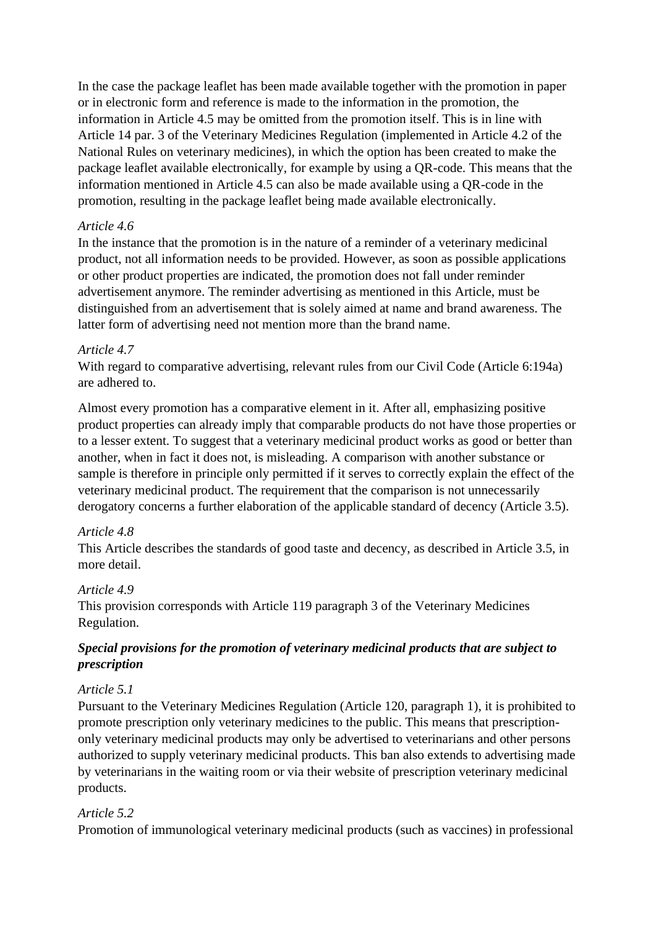In the case the package leaflet has been made available together with the promotion in paper or in electronic form and reference is made to the information in the promotion, the information in Article 4.5 may be omitted from the promotion itself. This is in line with Article 14 par. 3 of the Veterinary Medicines Regulation (implemented in Article 4.2 of the National Rules on veterinary medicines), in which the option has been created to make the package leaflet available electronically, for example by using a QR-code. This means that the information mentioned in Article 4.5 can also be made available using a QR-code in the promotion, resulting in the package leaflet being made available electronically.

### *Article 4.6*

In the instance that the promotion is in the nature of a reminder of a veterinary medicinal product, not all information needs to be provided. However, as soon as possible applications or other product properties are indicated, the promotion does not fall under reminder advertisement anymore. The reminder advertising as mentioned in this Article, must be distinguished from an advertisement that is solely aimed at name and brand awareness. The latter form of advertising need not mention more than the brand name.

### *Article 4.7*

With regard to comparative advertising, relevant rules from our Civil Code (Article 6:194a) are adhered to.

Almost every promotion has a comparative element in it. After all, emphasizing positive product properties can already imply that comparable products do not have those properties or to a lesser extent. To suggest that a veterinary medicinal product works as good or better than another, when in fact it does not, is misleading. A comparison with another substance or sample is therefore in principle only permitted if it serves to correctly explain the effect of the veterinary medicinal product. The requirement that the comparison is not unnecessarily derogatory concerns a further elaboration of the applicable standard of decency (Article 3.5).

### *Article 4.8*

This Article describes the standards of good taste and decency, as described in Article 3.5, in more detail.

# *Article 4.9*

This provision corresponds with Article 119 paragraph 3 of the Veterinary Medicines Regulation.

# *Special provisions for the promotion of veterinary medicinal products that are subject to prescription*

### *Article 5.1*

Pursuant to the Veterinary Medicines Regulation (Article 120, paragraph 1), it is prohibited to promote prescription only veterinary medicines to the public. This means that prescriptiononly veterinary medicinal products may only be advertised to veterinarians and other persons authorized to supply veterinary medicinal products. This ban also extends to advertising made by veterinarians in the waiting room or via their website of prescription veterinary medicinal products.

### *Article 5.2*

Promotion of immunological veterinary medicinal products (such as vaccines) in professional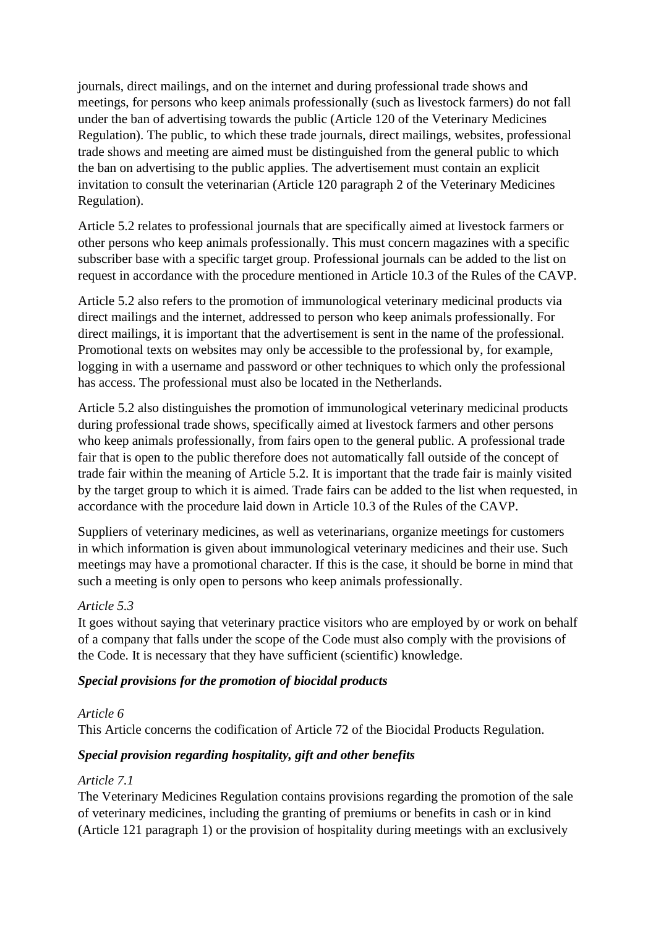journals, direct mailings, and on the internet and during professional trade shows and meetings, for persons who keep animals professionally (such as livestock farmers) do not fall under the ban of advertising towards the public (Article 120 of the Veterinary Medicines Regulation). The public, to which these trade journals, direct mailings, websites, professional trade shows and meeting are aimed must be distinguished from the general public to which the ban on advertising to the public applies. The advertisement must contain an explicit invitation to consult the veterinarian (Article 120 paragraph 2 of the Veterinary Medicines Regulation).

Article 5.2 relates to professional journals that are specifically aimed at livestock farmers or other persons who keep animals professionally. This must concern magazines with a specific subscriber base with a specific target group. Professional journals can be added to the list on request in accordance with the procedure mentioned in Article 10.3 of the Rules of the CAVP.

Article 5.2 also refers to the promotion of immunological veterinary medicinal products via direct mailings and the internet, addressed to person who keep animals professionally. For direct mailings, it is important that the advertisement is sent in the name of the professional. Promotional texts on websites may only be accessible to the professional by, for example, logging in with a username and password or other techniques to which only the professional has access. The professional must also be located in the Netherlands.

Article 5.2 also distinguishes the promotion of immunological veterinary medicinal products during professional trade shows, specifically aimed at livestock farmers and other persons who keep animals professionally, from fairs open to the general public. A professional trade fair that is open to the public therefore does not automatically fall outside of the concept of trade fair within the meaning of Article 5.2. It is important that the trade fair is mainly visited by the target group to which it is aimed. Trade fairs can be added to the list when requested, in accordance with the procedure laid down in Article 10.3 of the Rules of the CAVP.

Suppliers of veterinary medicines, as well as veterinarians, organize meetings for customers in which information is given about immunological veterinary medicines and their use. Such meetings may have a promotional character. If this is the case, it should be borne in mind that such a meeting is only open to persons who keep animals professionally.

### *Article 5.3*

It goes without saying that veterinary practice visitors who are employed by or work on behalf of a company that falls under the scope of the Code must also comply with the provisions of the Code. It is necessary that they have sufficient (scientific) knowledge.

### *Special provisions for the promotion of biocidal products*

### *Article 6*

This Article concerns the codification of Article 72 of the Biocidal Products Regulation.

### *Special provision regarding hospitality, gift and other benefits*

### *Article 7.1*

The Veterinary Medicines Regulation contains provisions regarding the promotion of the sale of veterinary medicines, including the granting of premiums or benefits in cash or in kind (Article 121 paragraph 1) or the provision of hospitality during meetings with an exclusively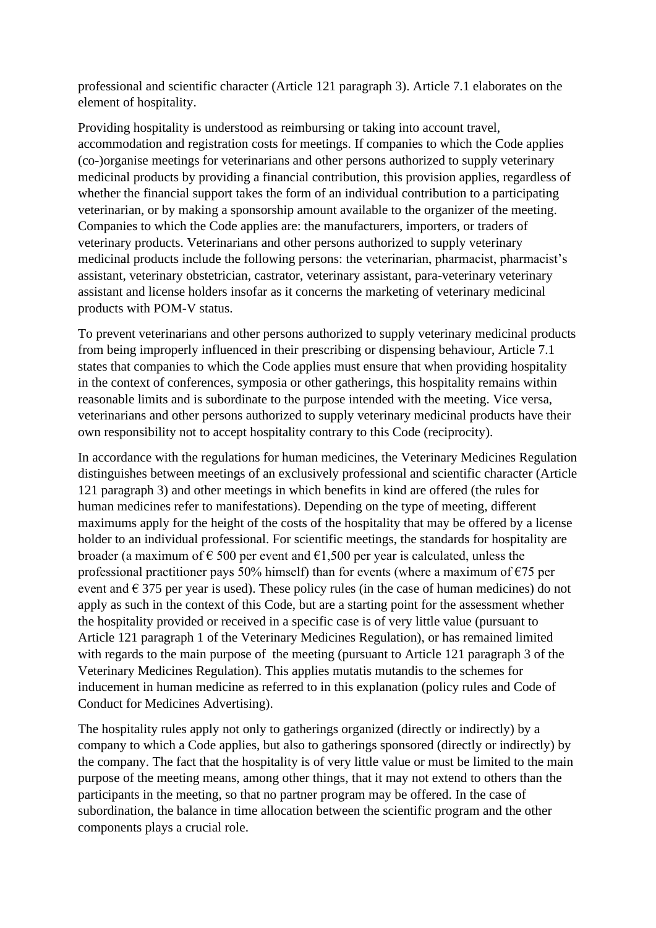professional and scientific character (Article 121 paragraph 3). Article 7.1 elaborates on the element of hospitality.

Providing hospitality is understood as reimbursing or taking into account travel, accommodation and registration costs for meetings. If companies to which the Code applies (co-)organise meetings for veterinarians and other persons authorized to supply veterinary medicinal products by providing a financial contribution, this provision applies, regardless of whether the financial support takes the form of an individual contribution to a participating veterinarian, or by making a sponsorship amount available to the organizer of the meeting. Companies to which the Code applies are: the manufacturers, importers, or traders of veterinary products. Veterinarians and other persons authorized to supply veterinary medicinal products include the following persons: the veterinarian, pharmacist, pharmacist's assistant, veterinary obstetrician, castrator, veterinary assistant, para-veterinary veterinary assistant and license holders insofar as it concerns the marketing of veterinary medicinal products with POM-V status.

To prevent veterinarians and other persons authorized to supply veterinary medicinal products from being improperly influenced in their prescribing or dispensing behaviour, Article 7.1 states that companies to which the Code applies must ensure that when providing hospitality in the context of conferences, symposia or other gatherings, this hospitality remains within reasonable limits and is subordinate to the purpose intended with the meeting. Vice versa, veterinarians and other persons authorized to supply veterinary medicinal products have their own responsibility not to accept hospitality contrary to this Code (reciprocity).

In accordance with the regulations for human medicines, the Veterinary Medicines Regulation distinguishes between meetings of an exclusively professional and scientific character (Article 121 paragraph 3) and other meetings in which benefits in kind are offered (the rules for human medicines refer to manifestations). Depending on the type of meeting, different maximums apply for the height of the costs of the hospitality that may be offered by a license holder to an individual professional. For scientific meetings, the standards for hospitality are broader (a maximum of  $\epsilon$  500 per event and  $\epsilon$ 1,500 per year is calculated, unless the professional practitioner pays 50% himself) than for events (where a maximum of  $\epsilon$ 75 per event and  $\epsilon$  375 per year is used). These policy rules (in the case of human medicines) do not apply as such in the context of this Code, but are a starting point for the assessment whether the hospitality provided or received in a specific case is of very little value (pursuant to Article 121 paragraph 1 of the Veterinary Medicines Regulation), or has remained limited with regards to the main purpose of the meeting (pursuant to Article 121 paragraph 3 of the Veterinary Medicines Regulation). This applies mutatis mutandis to the schemes for inducement in human medicine as referred to in this explanation (policy rules and Code of Conduct for Medicines Advertising).

The hospitality rules apply not only to gatherings organized (directly or indirectly) by a company to which a Code applies, but also to gatherings sponsored (directly or indirectly) by the company. The fact that the hospitality is of very little value or must be limited to the main purpose of the meeting means, among other things, that it may not extend to others than the participants in the meeting, so that no partner program may be offered. In the case of subordination, the balance in time allocation between the scientific program and the other components plays a crucial role.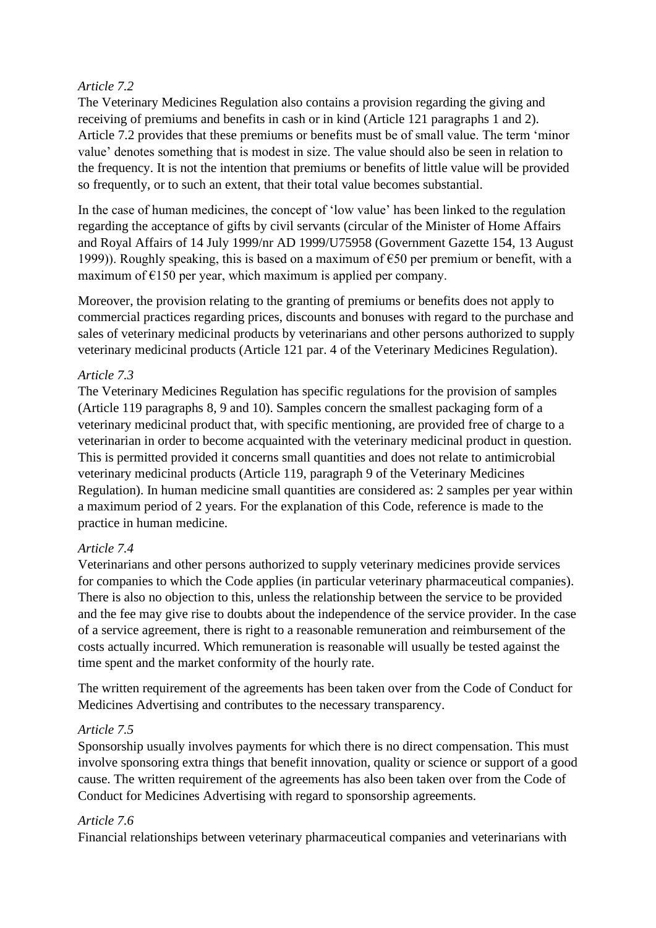# *Article 7.2*

The Veterinary Medicines Regulation also contains a provision regarding the giving and receiving of premiums and benefits in cash or in kind (Article 121 paragraphs 1 and 2). Article 7.2 provides that these premiums or benefits must be of small value. The term 'minor value' denotes something that is modest in size. The value should also be seen in relation to the frequency. It is not the intention that premiums or benefits of little value will be provided so frequently, or to such an extent, that their total value becomes substantial.

In the case of human medicines, the concept of 'low value' has been linked to the regulation regarding the acceptance of gifts by civil servants (circular of the Minister of Home Affairs and Royal Affairs of 14 July 1999/nr AD 1999/U75958 (Government Gazette 154, 13 August 1999)). Roughly speaking, this is based on a maximum of  $\epsilon$ 50 per premium or benefit, with a maximum of  $E150$  per year, which maximum is applied per company.

Moreover, the provision relating to the granting of premiums or benefits does not apply to commercial practices regarding prices, discounts and bonuses with regard to the purchase and sales of veterinary medicinal products by veterinarians and other persons authorized to supply veterinary medicinal products (Article 121 par. 4 of the Veterinary Medicines Regulation).

# *Article 7.3*

The Veterinary Medicines Regulation has specific regulations for the provision of samples (Article 119 paragraphs 8, 9 and 10). Samples concern the smallest packaging form of a veterinary medicinal product that, with specific mentioning, are provided free of charge to a veterinarian in order to become acquainted with the veterinary medicinal product in question. This is permitted provided it concerns small quantities and does not relate to antimicrobial veterinary medicinal products (Article 119, paragraph 9 of the Veterinary Medicines Regulation). In human medicine small quantities are considered as: 2 samples per year within a maximum period of 2 years. For the explanation of this Code, reference is made to the practice in human medicine.

### *Article 7.4*

Veterinarians and other persons authorized to supply veterinary medicines provide services for companies to which the Code applies (in particular veterinary pharmaceutical companies). There is also no objection to this, unless the relationship between the service to be provided and the fee may give rise to doubts about the independence of the service provider. In the case of a service agreement, there is right to a reasonable remuneration and reimbursement of the costs actually incurred. Which remuneration is reasonable will usually be tested against the time spent and the market conformity of the hourly rate.

The written requirement of the agreements has been taken over from the Code of Conduct for Medicines Advertising and contributes to the necessary transparency.

### *Article 7.5*

Sponsorship usually involves payments for which there is no direct compensation. This must involve sponsoring extra things that benefit innovation, quality or science or support of a good cause. The written requirement of the agreements has also been taken over from the Code of Conduct for Medicines Advertising with regard to sponsorship agreements.

### *Article 7.6*

Financial relationships between veterinary pharmaceutical companies and veterinarians with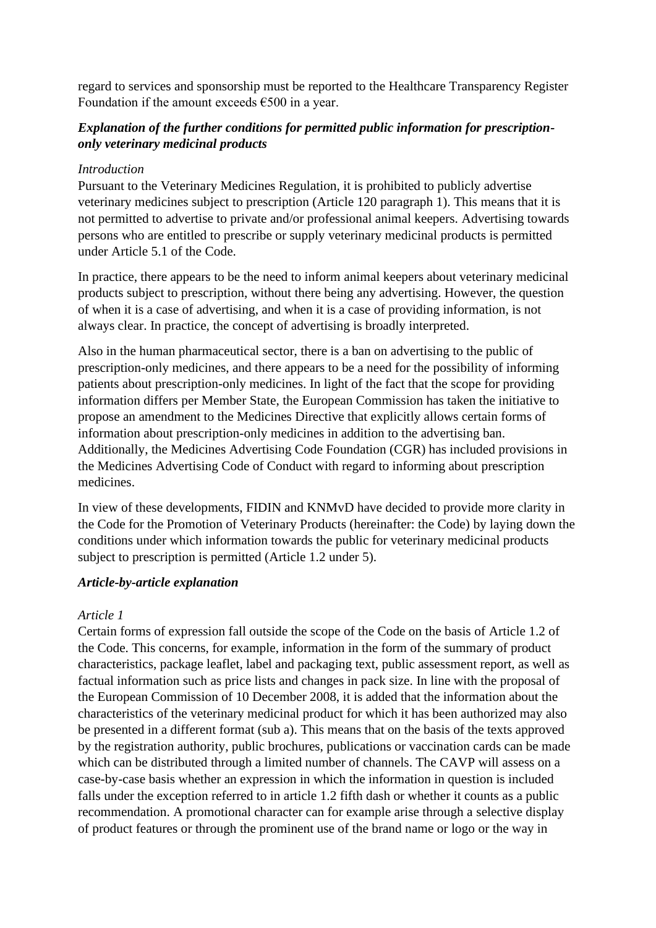regard to services and sponsorship must be reported to the Healthcare Transparency Register Foundation if the amount exceeds  $€500$  in a year.

# *Explanation of the further conditions for permitted public information for prescriptiononly veterinary medicinal products*

#### *Introduction*

Pursuant to the Veterinary Medicines Regulation, it is prohibited to publicly advertise veterinary medicines subject to prescription (Article 120 paragraph 1). This means that it is not permitted to advertise to private and/or professional animal keepers. Advertising towards persons who are entitled to prescribe or supply veterinary medicinal products is permitted under Article 5.1 of the Code.

In practice, there appears to be the need to inform animal keepers about veterinary medicinal products subject to prescription, without there being any advertising. However, the question of when it is a case of advertising, and when it is a case of providing information, is not always clear. In practice, the concept of advertising is broadly interpreted.

Also in the human pharmaceutical sector, there is a ban on advertising to the public of prescription-only medicines, and there appears to be a need for the possibility of informing patients about prescription-only medicines. In light of the fact that the scope for providing information differs per Member State, the European Commission has taken the initiative to propose an amendment to the Medicines Directive that explicitly allows certain forms of information about prescription-only medicines in addition to the advertising ban. Additionally, the Medicines Advertising Code Foundation (CGR) has included provisions in the Medicines Advertising Code of Conduct with regard to informing about prescription medicines.

In view of these developments, FIDIN and KNMvD have decided to provide more clarity in the Code for the Promotion of Veterinary Products (hereinafter: the Code) by laying down the conditions under which information towards the public for veterinary medicinal products subject to prescription is permitted (Article 1.2 under 5).

### *Article-by-article explanation*

### *Article 1*

Certain forms of expression fall outside the scope of the Code on the basis of Article 1.2 of the Code. This concerns, for example, information in the form of the summary of product characteristics, package leaflet, label and packaging text, public assessment report, as well as factual information such as price lists and changes in pack size. In line with the proposal of the European Commission of 10 December 2008, it is added that the information about the characteristics of the veterinary medicinal product for which it has been authorized may also be presented in a different format (sub a). This means that on the basis of the texts approved by the registration authority, public brochures, publications or vaccination cards can be made which can be distributed through a limited number of channels. The CAVP will assess on a case-by-case basis whether an expression in which the information in question is included falls under the exception referred to in article 1.2 fifth dash or whether it counts as a public recommendation. A promotional character can for example arise through a selective display of product features or through the prominent use of the brand name or logo or the way in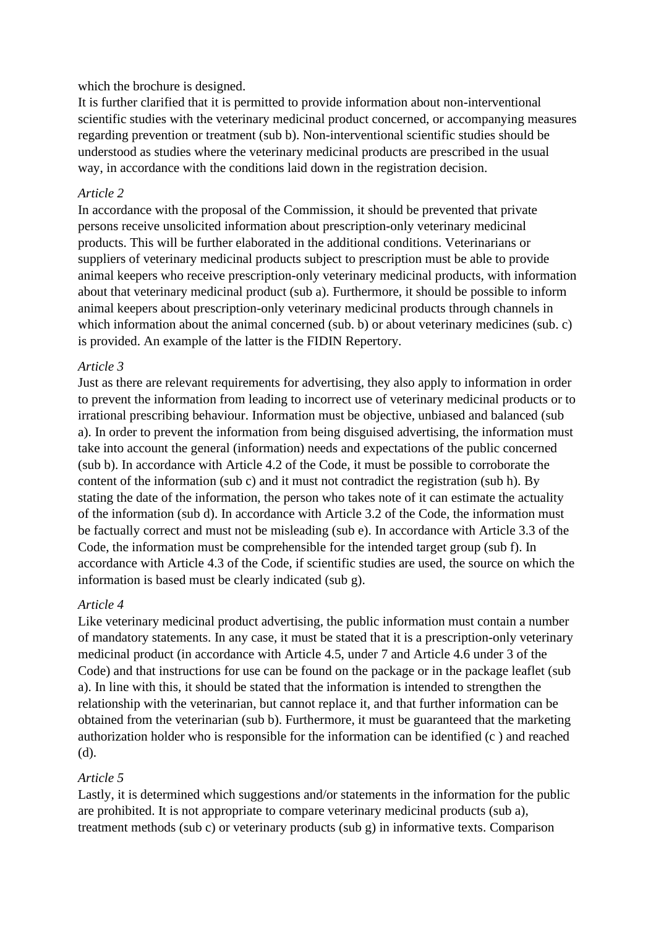#### which the brochure is designed.

It is further clarified that it is permitted to provide information about non-interventional scientific studies with the veterinary medicinal product concerned, or accompanying measures regarding prevention or treatment (sub b). Non-interventional scientific studies should be understood as studies where the veterinary medicinal products are prescribed in the usual way, in accordance with the conditions laid down in the registration decision.

#### *Article 2*

In accordance with the proposal of the Commission, it should be prevented that private persons receive unsolicited information about prescription-only veterinary medicinal products. This will be further elaborated in the additional conditions. Veterinarians or suppliers of veterinary medicinal products subject to prescription must be able to provide animal keepers who receive prescription-only veterinary medicinal products, with information about that veterinary medicinal product (sub a). Furthermore, it should be possible to inform animal keepers about prescription-only veterinary medicinal products through channels in which information about the animal concerned (sub. b) or about veterinary medicines (sub. c) is provided. An example of the latter is the FIDIN Repertory.

#### *Article 3*

Just as there are relevant requirements for advertising, they also apply to information in order to prevent the information from leading to incorrect use of veterinary medicinal products or to irrational prescribing behaviour. Information must be objective, unbiased and balanced (sub a). In order to prevent the information from being disguised advertising, the information must take into account the general (information) needs and expectations of the public concerned (sub b). In accordance with Article 4.2 of the Code, it must be possible to corroborate the content of the information (sub c) and it must not contradict the registration (sub h). By stating the date of the information, the person who takes note of it can estimate the actuality of the information (sub d). In accordance with Article 3.2 of the Code, the information must be factually correct and must not be misleading (sub e). In accordance with Article 3.3 of the Code, the information must be comprehensible for the intended target group (sub f). In accordance with Article 4.3 of the Code, if scientific studies are used, the source on which the information is based must be clearly indicated (sub g).

#### *Article 4*

Like veterinary medicinal product advertising, the public information must contain a number of mandatory statements. In any case, it must be stated that it is a prescription-only veterinary medicinal product (in accordance with Article 4.5, under 7 and Article 4.6 under 3 of the Code) and that instructions for use can be found on the package or in the package leaflet (sub a). In line with this, it should be stated that the information is intended to strengthen the relationship with the veterinarian, but cannot replace it, and that further information can be obtained from the veterinarian (sub b). Furthermore, it must be guaranteed that the marketing authorization holder who is responsible for the information can be identified (c ) and reached (d).

### *Article 5*

Lastly, it is determined which suggestions and/or statements in the information for the public are prohibited. It is not appropriate to compare veterinary medicinal products (sub a), treatment methods (sub c) or veterinary products (sub g) in informative texts. Comparison